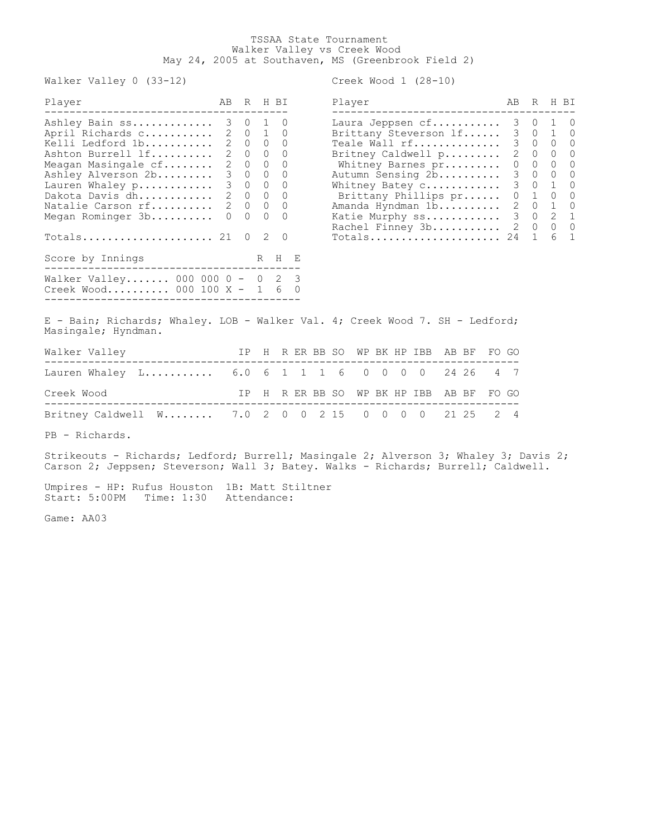## TSSAA State Tournament Walker Valley vs Creek Wood May 24, 2005 at Southaven, MS (Greenbrook Field 2)

Walker Valley 0 (33-12) Creek Wood 1 (28-10)

| Player                          |                  |          |              | ABRHBI            | Player                   | AB | R                 | H BI       |
|---------------------------------|------------------|----------|--------------|-------------------|--------------------------|----|-------------------|------------|
| Ashley Bain ss 3 0 1 0          |                  |          |              |                   | Laura Jeppsen cf         |    | 3 0 1 0           |            |
| April Richards c 2 0 1 0        |                  |          |              |                   | Brittany Steverson If    |    | 3 0 1 0           |            |
| Kelli Ledford 1b 2 0 0 0        |                  |          |              |                   | Teale Wall rf            |    | 3 0 0 0           |            |
| Ashton Burrell 1f 2 0 0 0       |                  |          |              |                   | Britney Caldwell p       |    | 2 0 0 0           |            |
| Meagan Masingale cf 2 0 0 0     |                  |          |              |                   | Whitney Barnes pr        |    | $0\quad 0\quad 0$ | $\bigcirc$ |
| Ashley Alverson 2b 3 0 0 0      |                  |          |              |                   | Autumn Sensing 2b        |    | 3 0 0 0           |            |
| Lauren Whaley p 3 0 0 0         |                  |          |              |                   | Whitney Batey c 3 0 1 0  |    |                   |            |
| Dakota Davis dh 2 0 0 0         |                  |          |              |                   | Brittany Phillips pr     |    | 0 1 0 0           |            |
| Natalie Carson rf 2 0 0 0       |                  |          |              |                   | Amanda Hyndman 1b        |    | 2 0 1 0           |            |
| Megan Rominger 3b               | $\left( \right)$ | $\Omega$ | $\Omega$     | $\bigcirc$        | Katie Murphy ss          |    | 3 0 2 1           |            |
|                                 |                  |          |              |                   | Rachel Finney 3b 2 0 0 0 |    |                   |            |
|                                 |                  | $\Omega$ | <sup>2</sup> | $\bigcirc$        | $Totals$ 24 1            |    |                   | 6 1        |
| Score by Innings                |                  |          |              | R H E             |                          |    |                   |            |
| Walker Valley 000 000 0 - 0 2 3 |                  |          |              |                   |                          |    |                   |            |
| Creek Wood 000 100 X -          |                  |          |              | $1\quad 6\quad 0$ |                          |    |                   |            |
|                                 |                  |          |              |                   |                          |    |                   |            |

| Player                                                            | ΆR            |                  | R H BT       |                  |
|-------------------------------------------------------------------|---------------|------------------|--------------|------------------|
| Laura Jeppsen cf                                                  | 3             | $\left( \right)$ | 1            | $\left( \right)$ |
| Brittany Steverson lf                                             | 3             | $\overline{0}$   | $\mathbf{1}$ | 0                |
| Teale Wall rf                                                     | 3             | 0                | $\Omega$     | 0                |
| Britney Caldwell p                                                | 2             | 0                | 0            | 0                |
| Whitney Barnes pr                                                 | 0             | 0                | 0            | 0                |
| Autumn Sensing 2b                                                 | 3             | 0                | 0            | 0                |
| Whitney Batey c                                                   | 3             | $\mathbf{0}$     | $\mathbf{1}$ | $\Omega$         |
| Brittany Phillips pr                                              | 0             | 1                | 0            | 0                |
| Amanda Hyndman 1b                                                 | $\mathcal{L}$ | 0                | 1            | 0                |
| Katie Murphy ss                                                   | 3             | 0                | 2            | 1                |
| Rachel Finney 3b                                                  | 2             | $\Omega$         | 0            | $\Omega$         |
| $\verb Totals , \verb .\dots \verb .\dots \verb .\dots \verb . .$ | 24            |                  |              | $\mathbf{1}$     |

E - Bain; Richards; Whaley. LOB - Walker Val. 4; Creek Wood 7. SH - Ledford; Masingale; Hyndman.

| Walker Valley                                       |  |  |  |  | IP H R ER BB SO WP BK HP IBB AB BF FO GO |  |  |
|-----------------------------------------------------|--|--|--|--|------------------------------------------|--|--|
| Lauren Whaley L 6.0 6 1 1 1 6 0 0 0 0 24 26 4 7     |  |  |  |  |                                          |  |  |
| Creek Wood                                          |  |  |  |  | IP H R ER BB SO WP BK HP IBB AB BF FO GO |  |  |
| Britney Caldwell W 7.0 2 0 0 2 15 0 0 0 0 21 25 2 4 |  |  |  |  |                                          |  |  |

PB - Richards.

Strikeouts - Richards; Ledford; Burrell; Masingale 2; Alverson 3; Whaley 3; Davis 2; Carson 2; Jeppsen; Steverson; Wall 3; Batey. Walks - Richards; Burrell; Caldwell.

Umpires - HP: Rufus Houston 1B: Matt Stiltner Start: 5:00PM Time: 1:30 Attendance:

Game: AA03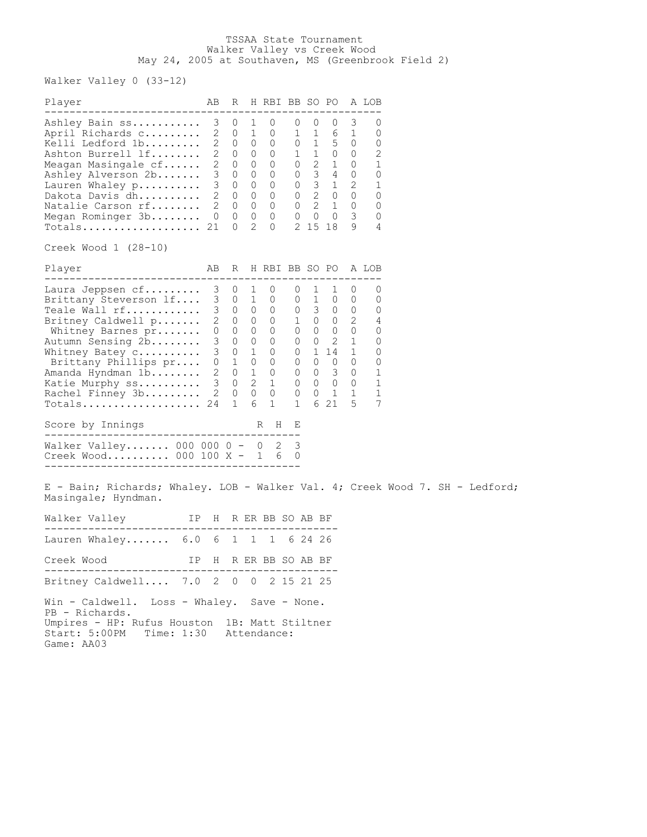## TSSAA State Tournament Walker Valley vs Creek Wood May 24, 2005 at Southaven, MS (Greenbrook Field 2)

Walker Valley 0 (33-12)

| Player                                                                                                                                                                                                                                      | AB                                                  | R                                                                                                                                              |                                                                                                                        | H RBI BB SO PO A LOB                                                                                                                  |                                                                                                                                                  |                                                                                                      |                                                                                                                                                          |                                                                                            |                                                          |  |
|---------------------------------------------------------------------------------------------------------------------------------------------------------------------------------------------------------------------------------------------|-----------------------------------------------------|------------------------------------------------------------------------------------------------------------------------------------------------|------------------------------------------------------------------------------------------------------------------------|---------------------------------------------------------------------------------------------------------------------------------------|--------------------------------------------------------------------------------------------------------------------------------------------------|------------------------------------------------------------------------------------------------------|----------------------------------------------------------------------------------------------------------------------------------------------------------|--------------------------------------------------------------------------------------------|----------------------------------------------------------|--|
| Ashley Bain ss<br>April Richards c<br>Kelli Ledford 1b<br>Ashton Burrell lf<br>Meagan Masingale cf<br>Ashley Alverson 2b<br>Lauren Whaley p<br>Dakota Davis dh<br>Natalie Carson rf<br>Megan Rominger 3b<br>Totals                          | 3<br>3<br>3<br>$\mathbf{2}$<br>$\overline{0}$<br>21 | 0<br>$2 \quad 0$<br>20<br>$2 \quad 0$<br>$2 \quad 0$<br>0<br>0<br>0<br>$2\quad 0$<br>$\circ$<br>0                                              | 1<br>1<br>0<br>0<br>0<br>0<br>0<br>0<br>$\circ$<br>0<br>2                                                              | 0<br>0<br>0<br>0<br>0<br>0<br>0<br>0<br>$\mathsf{O}$<br>0<br>$\Omega$                                                                 | 0<br>1<br>0<br>1<br>$\overline{0}$<br>$\overline{0}$<br>$\overline{0}$<br>$\overline{0}$                                                         | 0<br>$\mathbf{1}$<br>1<br>1<br>$\overline{2}$<br>3 <sup>7</sup><br>3<br>$\overline{2}$<br>$0\quad 0$ | 0<br>6<br>$5 -$<br>$\overline{0}$<br>1<br>4<br>1<br>$0 \quad 2 \quad 0$<br>1<br>$\circ$<br>2 15 18                                                       | 3<br>1<br>0<br>0<br>0<br>$\overline{0}$<br>2<br>0<br>$\overline{0}$<br>3<br>9              | 0<br>0<br>0<br>2<br>1<br>0<br>1<br>0<br>0<br>0<br>4      |  |
| Creek Wood 1 (28-10)                                                                                                                                                                                                                        |                                                     |                                                                                                                                                |                                                                                                                        |                                                                                                                                       |                                                                                                                                                  |                                                                                                      |                                                                                                                                                          |                                                                                            |                                                          |  |
| Player                                                                                                                                                                                                                                      | AB.                                                 | R                                                                                                                                              |                                                                                                                        | H RBI BB SO PO                                                                                                                        |                                                                                                                                                  |                                                                                                      |                                                                                                                                                          |                                                                                            | A LOB                                                    |  |
| Laura Jeppsen cf<br>Brittany Steverson If<br>Teale Wall rf<br>Britney Caldwell p<br>Whitney Barnes pr<br>Autumn Sensing 2b<br>Whitney Batey c<br>Brittany Phillips pr<br>Amanda Hyndman 1b<br>Katie Murphy ss<br>Rachel Finney 3b<br>Totals | 3<br>3<br>3 <sup>7</sup><br>24                      | 0<br>$\cup$<br>$3 \quad 0$<br>$2 \quad 0$<br>$0\qquad 0$<br>0<br>$3 \quad 0$<br>$0\quad 1$<br>$2 \quad 0$<br>30<br>$2 \quad 0$<br>$\mathbf{1}$ | 1<br>1<br>$\overline{0}$<br>$\overline{0}$<br>$\circ$<br>$\mathbf{0}$<br>1<br>$\circ$<br>1<br>$\overline{2}$<br>0<br>6 | 0<br>0<br>$\overline{0}$<br>$\overline{0}$<br>0<br>0<br>$\begin{matrix} 0 \\ 0 \end{matrix}$<br>$\begin{matrix}1\\0\end{matrix}$<br>1 | 0<br>0<br>$\overline{0}$<br>$\circ$<br>$\circ$<br>0<br>$\circ$<br>$\begin{matrix} 0 \end{matrix} \qquad \begin{matrix} 0 \end{matrix}$<br>0<br>1 | 1<br>1<br>$\overline{0}$<br>$\overline{0}$<br>$\overline{0}$<br>$\overline{0}$<br>$\overline{0}$     | 1<br>$\overline{0}$<br>$3 \quad 0$<br>1 0 0<br>$\circ$<br>$\overline{2}$<br>1 14<br>$\overline{0}$<br>3 <sup>7</sup><br>$0\qquad 0\qquad 0$<br>1<br>6 21 | 0<br>0<br>0<br>2<br>0<br>1<br>$\mathbf 1$<br>0<br>0<br>$\overline{0}$<br>$\mathbf{1}$<br>5 | 0<br>0<br>0<br>4<br>0<br>0<br>0<br>0<br>1<br>1<br>1<br>7 |  |
| Score by Innings<br>_______________________                                                                                                                                                                                                 |                                                     |                                                                                                                                                |                                                                                                                        | R<br>$_{\rm H}$                                                                                                                       | Е                                                                                                                                                |                                                                                                      |                                                                                                                                                          |                                                                                            |                                                          |  |
| Walker Valley 000 000 0 - 0 2<br>Creek Wood 000 100 X - 1 6<br>E - Bain; Richards; Whaley. LOB - Walker Val. 4; Creek Wood 7.                                                                                                               |                                                     |                                                                                                                                                |                                                                                                                        |                                                                                                                                       | 3<br>0                                                                                                                                           |                                                                                                      |                                                                                                                                                          |                                                                                            |                                                          |  |
| Masingale; Hyndman.                                                                                                                                                                                                                         |                                                     |                                                                                                                                                |                                                                                                                        |                                                                                                                                       |                                                                                                                                                  |                                                                                                      |                                                                                                                                                          |                                                                                            |                                                          |  |
| IP H R ER BB SO AB BF<br>Walker Valley                                                                                                                                                                                                      |                                                     |                                                                                                                                                |                                                                                                                        |                                                                                                                                       |                                                                                                                                                  |                                                                                                      |                                                                                                                                                          |                                                                                            |                                                          |  |
| Lauren Whaley 6.0 6 1 1 1                                                                                                                                                                                                                   |                                                     |                                                                                                                                                |                                                                                                                        |                                                                                                                                       |                                                                                                                                                  | 6 24 26                                                                                              |                                                                                                                                                          |                                                                                            |                                                          |  |
| Creek Wood<br>IΡ                                                                                                                                                                                                                            | Н                                                   |                                                                                                                                                |                                                                                                                        | R ER BB SO AB BF                                                                                                                      |                                                                                                                                                  |                                                                                                      |                                                                                                                                                          |                                                                                            |                                                          |  |
| Britney Caldwell 7.0 2 0 0 2 15 21 25                                                                                                                                                                                                       |                                                     |                                                                                                                                                |                                                                                                                        |                                                                                                                                       |                                                                                                                                                  |                                                                                                      |                                                                                                                                                          |                                                                                            |                                                          |  |
| Win - Caldwell.<br>Loss - Whaley. Save - None.<br>PB - Richards.<br>Umpires - HP: Rufus Houston 1B: Matt Stiltner<br>Start: 5:00PM Time: 1:30 Attendance:<br>Game: AA03                                                                     |                                                     |                                                                                                                                                |                                                                                                                        |                                                                                                                                       |                                                                                                                                                  |                                                                                                      |                                                                                                                                                          |                                                                                            |                                                          |  |

SH - Ledford;